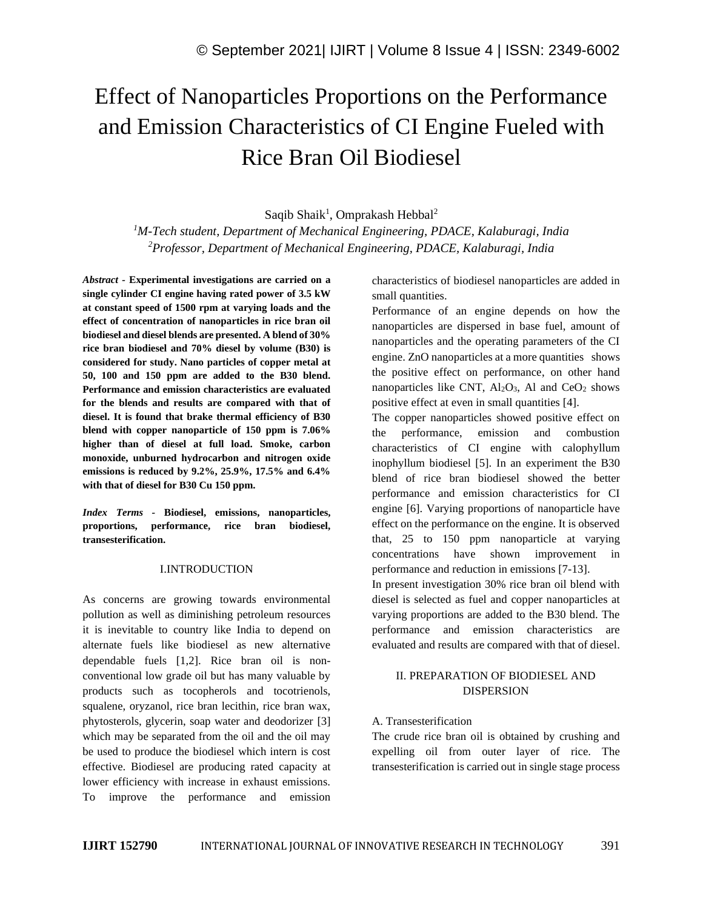# Effect of Nanoparticles Proportions on the Performance and Emission Characteristics of CI Engine Fueled with Rice Bran Oil Biodiesel

Saqib Shaik<sup>1</sup>, Omprakash Hebbal<sup>2</sup>

*<sup>1</sup>M-Tech student, Department of Mechanical Engineering, PDACE, Kalaburagi, India <sup>2</sup>Professor, Department of Mechanical Engineering, PDACE, Kalaburagi, India*

*Abstract -* **Experimental investigations are carried on a single cylinder CI engine having rated power of 3.5 kW at constant speed of 1500 rpm at varying loads and the effect of concentration of nanoparticles in rice bran oil biodiesel and diesel blends are presented. A blend of 30% rice bran biodiesel and 70% diesel by volume (B30) is considered for study. Nano particles of copper metal at 50, 100 and 150 ppm are added to the B30 blend. Performance and emission characteristics are evaluated for the blends and results are compared with that of diesel. It is found that brake thermal efficiency of B30 blend with copper nanoparticle of 150 ppm is 7.06% higher than of diesel at full load. Smoke, carbon monoxide, unburned hydrocarbon and nitrogen oxide emissions is reduced by 9.2%, 25.9%, 17.5% and 6.4% with that of diesel for B30 Cu 150 ppm.**

*Index Terms -* **Biodiesel, emissions, nanoparticles, proportions, performance, rice bran biodiesel, transesterification.**

#### I.INTRODUCTION

As concerns are growing towards environmental pollution as well as diminishing petroleum resources it is inevitable to country like India to depend on alternate fuels like biodiesel as new alternative dependable fuels [1,2]. Rice bran oil is nonconventional low grade oil but has many valuable by products such as tocopherols and tocotrienols, squalene, oryzanol, rice bran lecithin, rice bran wax, phytosterols, glycerin, soap water and deodorizer [3] which may be separated from the oil and the oil may be used to produce the biodiesel which intern is cost effective. Biodiesel are producing rated capacity at lower efficiency with increase in exhaust emissions. To improve the performance and emission characteristics of biodiesel nanoparticles are added in small quantities.

Performance of an engine depends on how the nanoparticles are dispersed in base fuel, amount of nanoparticles and the operating parameters of the CI engine. ZnO nanoparticles at a more quantities shows the positive effect on performance, on other hand nanoparticles like CNT,  $Al_2O_3$ , Al and CeO<sub>2</sub> shows positive effect at even in small quantities [4].

The copper nanoparticles showed positive effect on the performance, emission and combustion characteristics of CI engine with calophyllum inophyllum biodiesel [5]. In an experiment the B30 blend of rice bran biodiesel showed the better performance and emission characteristics for CI engine [6]. Varying proportions of nanoparticle have effect on the performance on the engine. It is observed that, 25 to 150 ppm nanoparticle at varying concentrations have shown improvement in performance and reduction in emissions [7-13].

In present investigation 30% rice bran oil blend with diesel is selected as fuel and copper nanoparticles at varying proportions are added to the B30 blend. The performance and emission characteristics are evaluated and results are compared with that of diesel.

## II. PREPARATION OF BIODIESEL AND DISPERSION

#### A. Transesterification

The crude rice bran oil is obtained by crushing and expelling oil from outer layer of rice. The transesterification is carried out in single stage process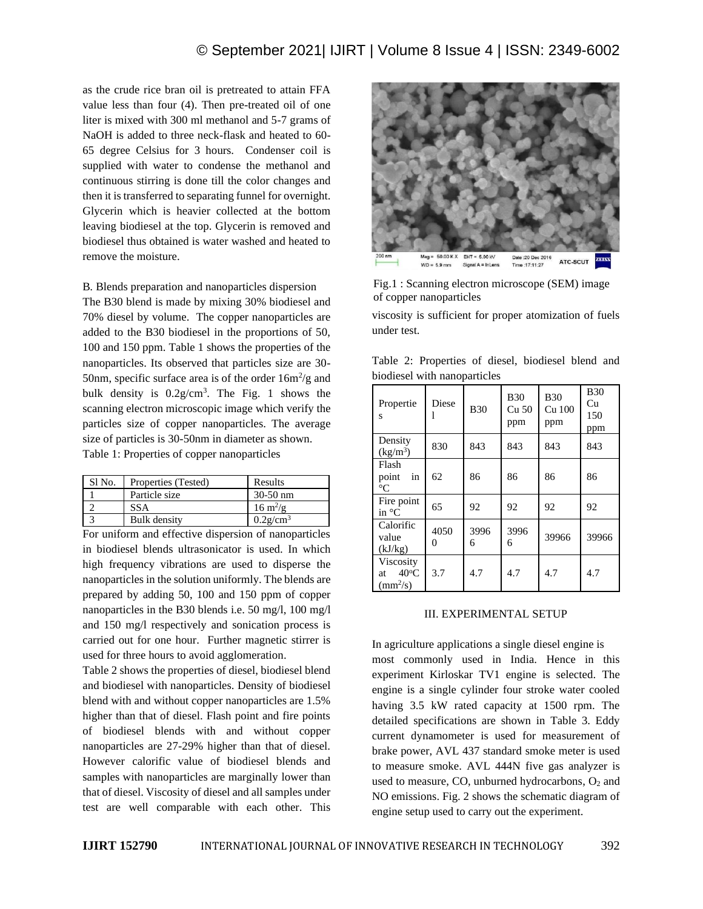as the crude rice bran oil is pretreated to attain FFA value less than four (4). Then pre-treated oil of one liter is mixed with 300 ml methanol and 5-7 grams of NaOH is added to three neck-flask and heated to 60- 65 degree Celsius for 3 hours. Condenser coil is supplied with water to condense the methanol and continuous stirring is done till the color changes and then it is transferred to separating funnel for overnight. Glycerin which is heavier collected at the bottom leaving biodiesel at the top. Glycerin is removed and biodiesel thus obtained is water washed and heated to remove the moisture.

B*.* Blends preparation and nanoparticles dispersion

The B30 blend is made by mixing 30% biodiesel and 70% diesel by volume. The copper nanoparticles are added to the B30 biodiesel in the proportions of 50, 100 and 150 ppm. Table 1 shows the properties of the nanoparticles. Its observed that particles size are 30- 50nm, specific surface area is of the order  $16m^2/g$  and bulk density is  $0.2g/cm^3$ . The Fig. 1 shows the scanning electron microscopic image which verify the particles size of copper nanoparticles. The average size of particles is 30-50nm in diameter as shown. Table 1: Properties of copper nanoparticles

| Sl No. | Properties (Tested) | Results                   |
|--------|---------------------|---------------------------|
|        | Particle size       | $30-50$ nm                |
|        | <b>SSA</b>          | $16 \text{ m}^2/\text{g}$ |
|        | <b>Bulk</b> density | $0.2$ g/cm <sup>3</sup>   |

For uniform and effective dispersion of nanoparticles in biodiesel blends ultrasonicator is used. In which high frequency vibrations are used to disperse the nanoparticles in the solution uniformly. The blends are prepared by adding 50, 100 and 150 ppm of copper nanoparticles in the B30 blends i.e. 50 mg/l, 100 mg/l and 150 mg/l respectively and sonication process is carried out for one hour. Further magnetic stirrer is used for three hours to avoid agglomeration.

Table 2 shows the properties of diesel, biodiesel blend and biodiesel with nanoparticles. Density of biodiesel blend with and without copper nanoparticles are 1.5% higher than that of diesel. Flash point and fire points of biodiesel blends with and without copper nanoparticles are 27-29% higher than that of diesel. However calorific value of biodiesel blends and samples with nanoparticles are marginally lower than that of diesel. Viscosity of diesel and all samples under test are well comparable with each other. This



Fig.1 : Scanning electron microscope (SEM) image of copper nanoparticles

viscosity is sufficient for proper atomization of fuels under test.

Table 2: Properties of diesel, biodiesel blend and biodiesel with nanoparticles

| Propertie<br>S                                      | Diese     | <b>B30</b> | <b>B30</b><br>Cu <sub>50</sub><br>ppm | <b>B30</b><br>Cu 100<br>ppm | <b>B</b> 30<br>Cu<br>150<br>ppm |
|-----------------------------------------------------|-----------|------------|---------------------------------------|-----------------------------|---------------------------------|
| Density<br>$(kg/m^3)$                               | 830       | 843        | 843                                   | 843                         | 843                             |
| Flash<br>point<br>in<br>$\rm ^{\circ}C$             | 62        | 86         | 86                                    | 86                          | 86                              |
| Fire point<br>in $\mathrm{C}$                       | 65        | 92         | 92                                    | 92                          | 92                              |
| Calorific<br>value<br>(kJ/kg)                       | 4050<br>0 | 3996<br>6  | 3996<br>6                             | 39966                       | 39966                           |
| Viscosity<br>$40^{\circ}$ C<br>at<br>$\rm (mm^2/s)$ | 3.7       | 4.7        | 4.7                                   | 4.7                         | 4.7                             |

#### III. EXPERIMENTAL SETUP

In agriculture applications a single diesel engine is most commonly used in India. Hence in this experiment Kirloskar TV1 engine is selected. The engine is a single cylinder four stroke water cooled having 3.5 kW rated capacity at 1500 rpm. The detailed specifications are shown in Table 3. Eddy current dynamometer is used for measurement of brake power, AVL 437 standard smoke meter is used to measure smoke. AVL 444N five gas analyzer is used to measure, CO, unburned hydrocarbons,  $O_2$  and NO emissions. Fig. 2 shows the schematic diagram of engine setup used to carry out the experiment.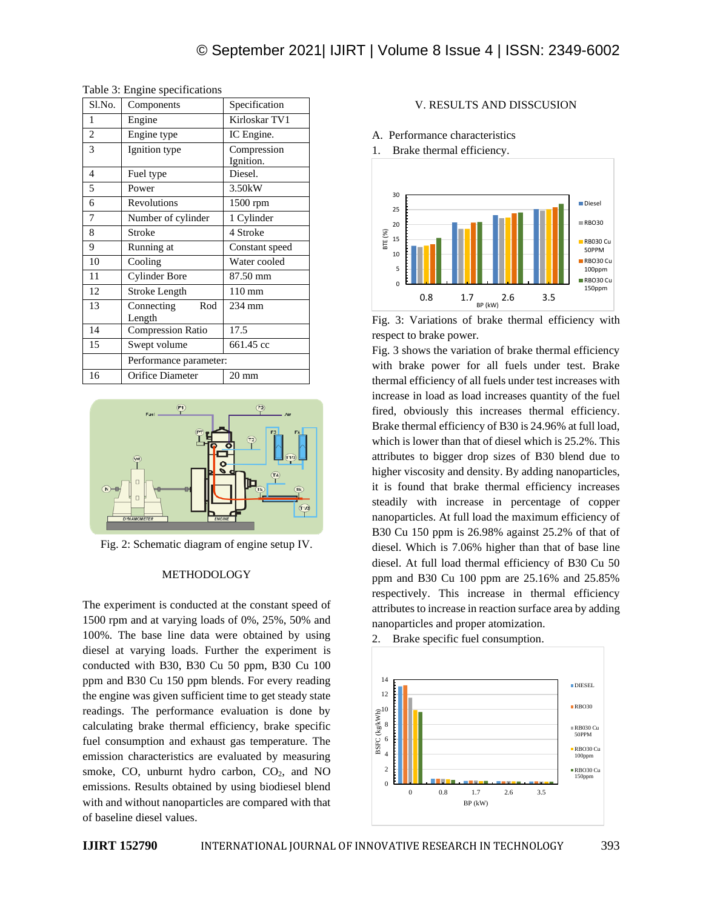| Sl.No.         | Components                  | Specification            |  |
|----------------|-----------------------------|--------------------------|--|
| 1              | Engine                      | Kirloskar TV1            |  |
| $\overline{c}$ | Engine type                 | IC Engine.               |  |
| 3              | Ignition type               | Compression<br>Ignition. |  |
| 4              | Fuel type                   | Diesel.                  |  |
| 5              | Power                       | 3.50kW                   |  |
| 6              | Revolutions                 | 1500 rpm                 |  |
| 7              | Number of cylinder          | 1 Cylinder               |  |
| 8              | Stroke                      | 4 Stroke                 |  |
| 9              | Running at                  | Constant speed           |  |
| 10             | Cooling                     | Water cooled             |  |
| 11             | <b>Cylinder Bore</b>        | 87.50 mm                 |  |
| 12             | <b>Stroke Length</b>        | $110 \text{ mm}$         |  |
| 13             | Connecting<br>Rod<br>Length | 234 mm                   |  |
| 14             | <b>Compression Ratio</b>    | 17.5                     |  |
| 15             | Swept volume                | 661.45 cc                |  |
|                | Performance parameter:      |                          |  |
| 16             | Orifice Diameter            | $20 \text{ mm}$          |  |

Table 3: Engine specifications



Fig. 2: Schematic diagram of engine setup IV.

#### METHODOLOGY

The experiment is conducted at the constant speed of 1500 rpm and at varying loads of 0%, 25%, 50% and 100%. The base line data were obtained by using diesel at varying loads. Further the experiment is conducted with B30, B30 Cu 50 ppm, B30 Cu 100 ppm and B30 Cu 150 ppm blends. For every reading the engine was given sufficient time to get steady state readings. The performance evaluation is done by calculating brake thermal efficiency, brake specific fuel consumption and exhaust gas temperature. The emission characteristics are evaluated by measuring smoke, CO, unburnt hydro carbon,  $CO<sub>2</sub>$ , and NO emissions. Results obtained by using biodiesel blend with and without nanoparticles are compared with that of baseline diesel values.

#### V. RESULTS AND DISSCUSION



1. Brake thermal efficiency.



Fig. 3: Variations of brake thermal efficiency with respect to brake power.

Fig. 3 shows the variation of brake thermal efficiency with brake power for all fuels under test. Brake thermal efficiency of all fuels under test increases with increase in load as load increases quantity of the fuel fired, obviously this increases thermal efficiency. Brake thermal efficiency of B30 is 24.96% at full load, which is lower than that of diesel which is 25.2%. This attributes to bigger drop sizes of B30 blend due to higher viscosity and density. By adding nanoparticles, it is found that brake thermal efficiency increases steadily with increase in percentage of copper nanoparticles. At full load the maximum efficiency of B30 Cu 150 ppm is 26.98% against 25.2% of that of diesel. Which is 7.06% higher than that of base line diesel. At full load thermal efficiency of B30 Cu 50 ppm and B30 Cu 100 ppm are 25.16% and 25.85% respectively. This increase in thermal efficiency attributes to increase in reaction surface area by adding nanoparticles and proper atomization.

2. Brake specific fuel consumption.

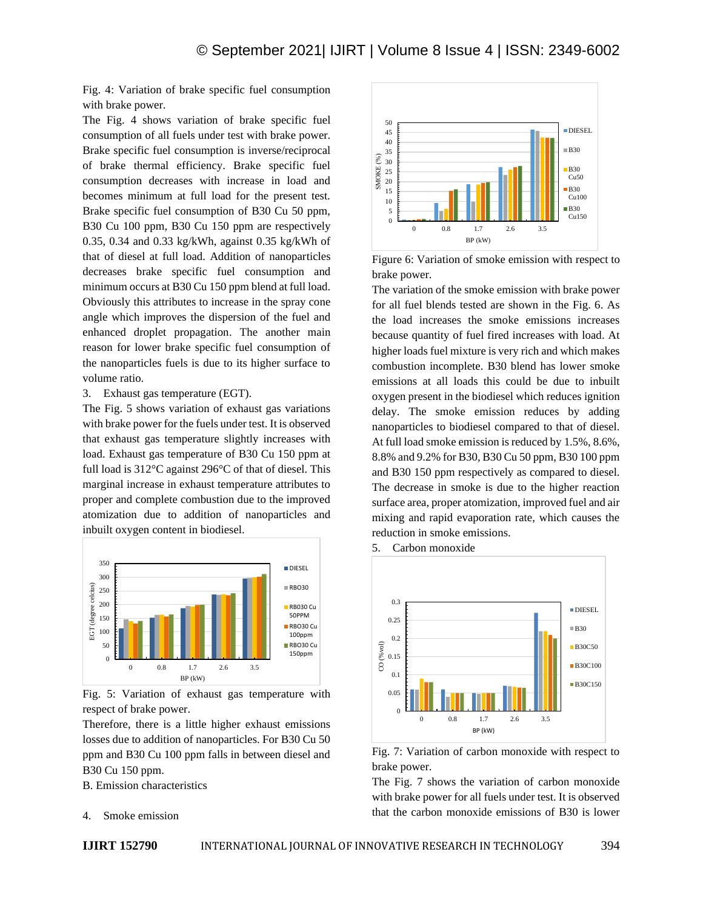Fig. 4: Variation of brake specific fuel consumption with brake power.

The Fig. 4 shows variation of brake specific fuel consumption of all fuels under test with brake power. Brake specific fuel consumption is inverse/reciprocal of brake thermal efficiency. Brake specific fuel consumption decreases with increase in load and becomes minimum at full load for the present test. Brake specific fuel consumption of B30 Cu 50 ppm, B30 Cu 100 ppm, B30 Cu 150 ppm are respectively 0.35, 0.34 and 0.33 kg/kWh, against 0.35 kg/kWh of that of diesel at full load. Addition of nanoparticles decreases brake specific fuel consumption and minimum occurs at B30 Cu 150 ppm blend at full load. Obviously this attributes to increase in the spray cone angle which improves the dispersion of the fuel and enhanced droplet propagation. The another main reason for lower brake specific fuel consumption of the nanoparticles fuels is due to its higher surface to volume ratio.

3. Exhaust gas temperature (EGT).

The Fig. 5 shows variation of exhaust gas variations with brake power for the fuels under test. It is observed that exhaust gas temperature slightly increases with load. Exhaust gas temperature of B30 Cu 150 ppm at full load is 312°C against 296°C of that of diesel. This marginal increase in exhaust temperature attributes to proper and complete combustion due to the improved atomization due to addition of nanoparticles and inbuilt oxygen content in biodiesel.



Fig. 5: Variation of exhaust gas temperature with respect of brake power.

Therefore, there is a little higher exhaust emissions losses due to addition of nanoparticles. For B30 Cu 50 ppm and B30 Cu 100 ppm falls in between diesel and B30 Cu 150 ppm.

B. Emission characteristics



Figure 6: Variation of smoke emission with respect to brake power.

The variation of the smoke emission with brake power for all fuel blends tested are shown in the Fig. 6. As the load increases the smoke emissions increases because quantity of fuel fired increases with load. At higher loads fuel mixture is very rich and which makes combustion incomplete. B30 blend has lower smoke emissions at all loads this could be due to inbuilt oxygen present in the biodiesel which reduces ignition delay. The smoke emission reduces by adding nanoparticles to biodiesel compared to that of diesel. At full load smoke emission is reduced by 1.5%, 8.6%, 8.8% and 9.2% for B30, B30 Cu 50 ppm, B30 100 ppm and B30 150 ppm respectively as compared to diesel. The decrease in smoke is due to the higher reaction surface area, proper atomization, improved fuel and air mixing and rapid evaporation rate, which causes the reduction in smoke emissions.





Fig. 7: Variation of carbon monoxide with respect to brake power.

The Fig. 7 shows the variation of carbon monoxide with brake power for all fuels under test. It is observed that the carbon monoxide emissions of B30 is lower

4. Smoke emission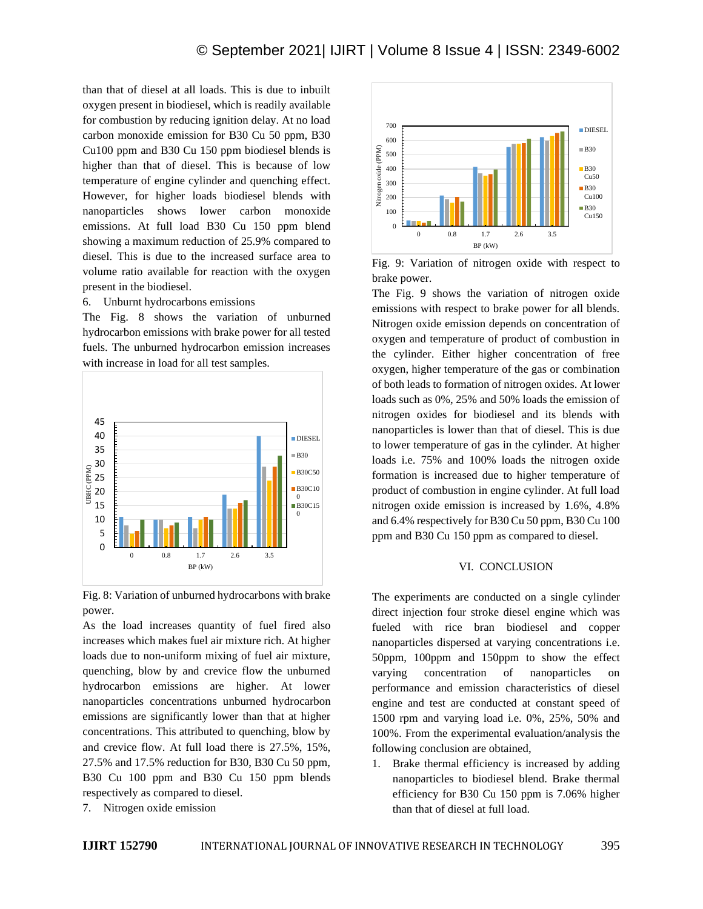than that of diesel at all loads. This is due to inbuilt oxygen present in biodiesel, which is readily available for combustion by reducing ignition delay. At no load carbon monoxide emission for B30 Cu 50 ppm, B30 Cu100 ppm and B30 Cu 150 ppm biodiesel blends is higher than that of diesel. This is because of low temperature of engine cylinder and quenching effect. However, for higher loads biodiesel blends with nanoparticles shows lower carbon monoxide emissions. At full load B30 Cu 150 ppm blend showing a maximum reduction of 25.9% compared to diesel. This is due to the increased surface area to volume ratio available for reaction with the oxygen present in the biodiesel.

6. Unburnt hydrocarbons emissions

The Fig. 8 shows the variation of unburned hydrocarbon emissions with brake power for all tested fuels. The unburned hydrocarbon emission increases with increase in load for all test samples.



Fig. 8: Variation of unburned hydrocarbons with brake power.

As the load increases quantity of fuel fired also increases which makes fuel air mixture rich. At higher loads due to non-uniform mixing of fuel air mixture, quenching, blow by and crevice flow the unburned hydrocarbon emissions are higher. At lower nanoparticles concentrations unburned hydrocarbon emissions are significantly lower than that at higher concentrations. This attributed to quenching, blow by and crevice flow. At full load there is 27.5%, 15%, 27.5% and 17.5% reduction for B30, B30 Cu 50 ppm, B30 Cu 100 ppm and B30 Cu 150 ppm blends respectively as compared to diesel. 7. Nitrogen oxide emission



Fig. 9: Variation of nitrogen oxide with respect to brake power.

The Fig. 9 shows the variation of nitrogen oxide emissions with respect to brake power for all blends. Nitrogen oxide emission depends on concentration of oxygen and temperature of product of combustion in the cylinder. Either higher concentration of free oxygen, higher temperature of the gas or combination of both leads to formation of nitrogen oxides. At lower loads such as 0%, 25% and 50% loads the emission of nitrogen oxides for biodiesel and its blends with nanoparticles is lower than that of diesel. This is due to lower temperature of gas in the cylinder. At higher loads i.e. 75% and 100% loads the nitrogen oxide formation is increased due to higher temperature of product of combustion in engine cylinder. At full load nitrogen oxide emission is increased by 1.6%, 4.8% and 6.4% respectively for B30 Cu 50 ppm, B30 Cu 100 ppm and B30 Cu 150 ppm as compared to diesel.

#### VI. CONCLUSION

The experiments are conducted on a single cylinder direct injection four stroke diesel engine which was fueled with rice bran biodiesel and copper nanoparticles dispersed at varying concentrations i.e. 50ppm, 100ppm and 150ppm to show the effect varying concentration of nanoparticles on performance and emission characteristics of diesel engine and test are conducted at constant speed of 1500 rpm and varying load i.e. 0%, 25%, 50% and 100%. From the experimental evaluation/analysis the following conclusion are obtained,

1. Brake thermal efficiency is increased by adding nanoparticles to biodiesel blend. Brake thermal efficiency for B30 Cu 150 ppm is 7.06% higher than that of diesel at full load.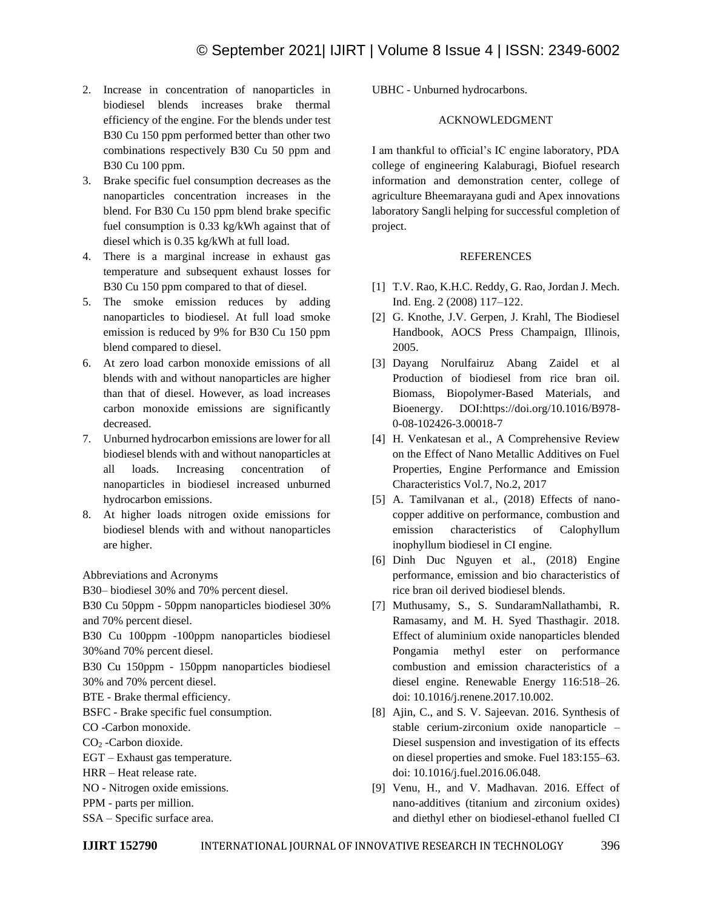- 2. Increase in concentration of nanoparticles in biodiesel blends increases brake thermal efficiency of the engine. For the blends under test B30 Cu 150 ppm performed better than other two combinations respectively B30 Cu 50 ppm and B30 Cu 100 ppm.
- 3. Brake specific fuel consumption decreases as the nanoparticles concentration increases in the blend. For B30 Cu 150 ppm blend brake specific fuel consumption is 0.33 kg/kWh against that of diesel which is 0.35 kg/kWh at full load.
- 4. There is a marginal increase in exhaust gas temperature and subsequent exhaust losses for B30 Cu 150 ppm compared to that of diesel.
- 5. The smoke emission reduces by adding nanoparticles to biodiesel. At full load smoke emission is reduced by 9% for B30 Cu 150 ppm blend compared to diesel.
- 6. At zero load carbon monoxide emissions of all blends with and without nanoparticles are higher than that of diesel. However, as load increases carbon monoxide emissions are significantly decreased.
- 7. Unburned hydrocarbon emissions are lower for all biodiesel blends with and without nanoparticles at all loads. Increasing concentration of nanoparticles in biodiesel increased unburned hydrocarbon emissions.
- 8. At higher loads nitrogen oxide emissions for biodiesel blends with and without nanoparticles are higher.

Abbreviations and Acronyms

B30– biodiesel 30% and 70% percent diesel.

B30 Cu 50ppm - 50ppm nanoparticles biodiesel 30% and 70% percent diesel.

B30 Cu 100ppm -100ppm nanoparticles biodiesel 30%and 70% percent diesel.

B30 Cu 150ppm - 150ppm nanoparticles biodiesel 30% and 70% percent diesel.

BTE - Brake thermal efficiency.

BSFC - Brake specific fuel consumption.

CO -Carbon monoxide.

CO<sub>2</sub> -Carbon dioxide.

- EGT Exhaust gas temperature.
- HRR Heat release rate.
- NO Nitrogen oxide emissions.
- PPM parts per million.
- SSA Specific surface area.

UBHC - Unburned hydrocarbons.

### ACKNOWLEDGMENT

I am thankful to official's IC engine laboratory, PDA college of engineering Kalaburagi, Biofuel research information and demonstration center, college of agriculture Bheemarayana gudi and Apex innovations laboratory Sangli helping for successful completion of project.

#### **REFERENCES**

- [1] T.V. Rao, K.H.C. Reddy, G. Rao, Jordan J. Mech. Ind. Eng. 2 (2008) 117–122.
- [2] G. Knothe, J.V. Gerpen, J. Krahl, The Biodiesel Handbook, AOCS Press Champaign, Illinois, 2005.
- [3] Dayang Norulfairuz Abang Zaidel et al Production of biodiesel from rice bran oil. Biomass, Biopolymer-Based Materials, and Bioenergy. DOI:https://doi.org/10.1016/B978- 0-08-102426-3.00018-7
- [4] H. Venkatesan et al., A Comprehensive Review on the Effect of Nano Metallic Additives on Fuel Properties, Engine Performance and Emission Characteristics Vol.7, No.2, 2017
- [5] A. Tamilvanan et al., (2018) Effects of nanocopper additive on performance, combustion and emission characteristics of Calophyllum inophyllum biodiesel in CI engine.
- [6] Dinh Duc Nguyen et al., (2018) Engine performance, emission and bio characteristics of rice bran oil derived biodiesel blends.
- [7] Muthusamy, S., S. SundaramNallathambi, R. Ramasamy, and M. H. Syed Thasthagir. 2018. Effect of aluminium oxide nanoparticles blended Pongamia methyl ester on performance combustion and emission characteristics of a diesel engine. Renewable Energy 116:518–26. doi: 10.1016/j.renene.2017.10.002.
- [8] Ajin, C., and S. V. Sajeevan. 2016. Synthesis of stable cerium-zirconium oxide nanoparticle – Diesel suspension and investigation of its effects on diesel properties and smoke. Fuel 183:155–63. doi: 10.1016/j.fuel.2016.06.048.
- [9] Venu, H., and V. Madhavan. 2016. Effect of nano-additives (titanium and zirconium oxides) and diethyl ether on biodiesel-ethanol fuelled CI